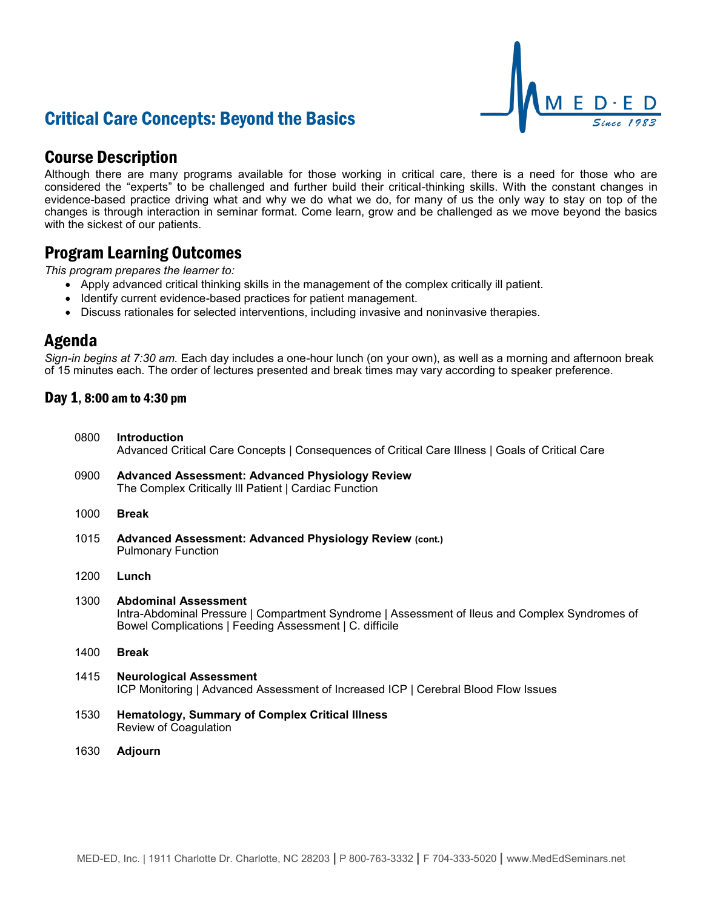# Critical Care Concepts: Beyond the Basics



## Course Description

Although there are many programs available for those working in critical care, there is a need for those who are considered the "experts" to be challenged and further build their critical-thinking skills. With the constant changes in evidence-based practice driving what and why we do what we do, for many of us the only way to stay on top of the changes is through interaction in seminar format. Come learn, grow and be challenged as we move beyond the basics with the sickest of our patients.

## Program Learning Outcomes

*This program prepares the learner to:*

- Apply advanced critical thinking skills in the management of the complex critically ill patient.
- Identify current evidence-based practices for patient management.
- Discuss rationales for selected interventions, including invasive and noninvasive therapies.

### Agenda

*Sign-in begins at 7:30 am.* Each day includes a one-hour lunch (on your own), as well as a morning and afternoon break of 15 minutes each. The order of lectures presented and break times may vary according to speaker preference.

### Day 1, 8:00 am to 4:30 pm

0800 **Introduction** Advanced Critical Care Concepts | Consequences of Critical Care Illness | Goals of Critical Care 0900 **Advanced Assessment: Advanced Physiology Review** The Complex Critically Ill Patient | Cardiac Function 1000 **Break** 1015 **Advanced Assessment: Advanced Physiology Review (cont.)** Pulmonary Function 1200 **Lunch** 1300 **Abdominal Assessment** Intra-Abdominal Pressure | Compartment Syndrome | Assessment of Ileus and Complex Syndromes of Bowel Complications | Feeding Assessment | C. difficile 1400 **Break** 1415 **Neurological Assessment** ICP Monitoring | Advanced Assessment of Increased ICP | Cerebral Blood Flow Issues 1530 **Hematology, Summary of Complex Critical Illness** Review of Coagulation 1630 **Adjourn**